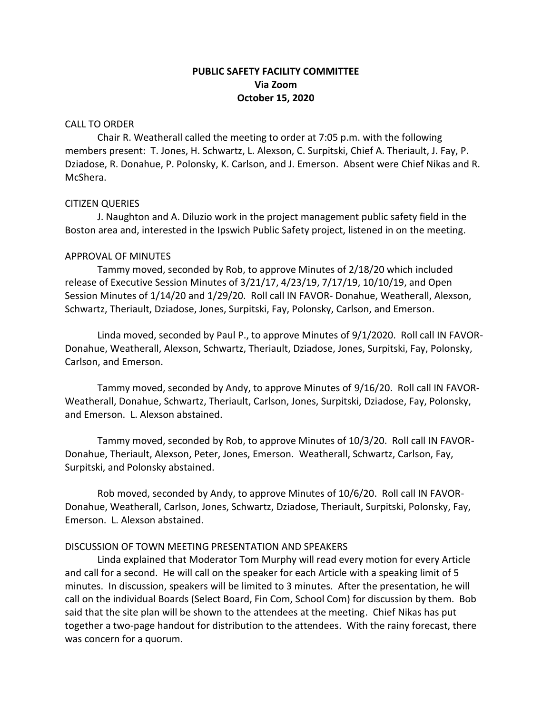# **PUBLIC SAFETY FACILITY COMMITTEE Via Zoom October 15, 2020**

## CALL TO ORDER

Chair R. Weatherall called the meeting to order at 7:05 p.m. with the following members present: T. Jones, H. Schwartz, L. Alexson, C. Surpitski, Chief A. Theriault, J. Fay, P. Dziadose, R. Donahue, P. Polonsky, K. Carlson, and J. Emerson. Absent were Chief Nikas and R. McShera.

### CITIZEN QUERIES

J. Naughton and A. Diluzio work in the project management public safety field in the Boston area and, interested in the Ipswich Public Safety project, listened in on the meeting.

### APPROVAL OF MINUTES

Tammy moved, seconded by Rob, to approve Minutes of 2/18/20 which included release of Executive Session Minutes of 3/21/17, 4/23/19, 7/17/19, 10/10/19, and Open Session Minutes of 1/14/20 and 1/29/20. Roll call IN FAVOR- Donahue, Weatherall, Alexson, Schwartz, Theriault, Dziadose, Jones, Surpitski, Fay, Polonsky, Carlson, and Emerson.

Linda moved, seconded by Paul P., to approve Minutes of 9/1/2020. Roll call IN FAVOR-Donahue, Weatherall, Alexson, Schwartz, Theriault, Dziadose, Jones, Surpitski, Fay, Polonsky, Carlson, and Emerson.

Tammy moved, seconded by Andy, to approve Minutes of 9/16/20. Roll call IN FAVOR-Weatherall, Donahue, Schwartz, Theriault, Carlson, Jones, Surpitski, Dziadose, Fay, Polonsky, and Emerson. L. Alexson abstained.

Tammy moved, seconded by Rob, to approve Minutes of 10/3/20. Roll call IN FAVOR-Donahue, Theriault, Alexson, Peter, Jones, Emerson. Weatherall, Schwartz, Carlson, Fay, Surpitski, and Polonsky abstained.

Rob moved, seconded by Andy, to approve Minutes of 10/6/20. Roll call IN FAVOR-Donahue, Weatherall, Carlson, Jones, Schwartz, Dziadose, Theriault, Surpitski, Polonsky, Fay, Emerson. L. Alexson abstained.

## DISCUSSION OF TOWN MEETING PRESENTATION AND SPEAKERS

Linda explained that Moderator Tom Murphy will read every motion for every Article and call for a second. He will call on the speaker for each Article with a speaking limit of 5 minutes. In discussion, speakers will be limited to 3 minutes. After the presentation, he will call on the individual Boards (Select Board, Fin Com, School Com) for discussion by them. Bob said that the site plan will be shown to the attendees at the meeting. Chief Nikas has put together a two-page handout for distribution to the attendees. With the rainy forecast, there was concern for a quorum.